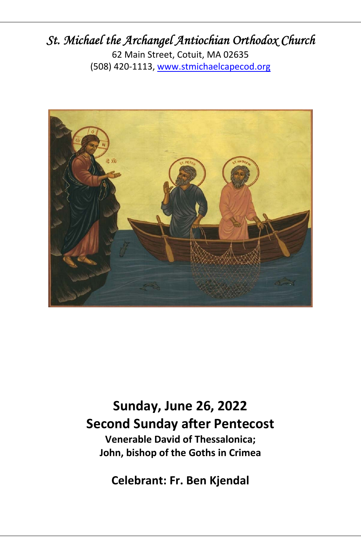## *St. Michael the Archangel Antiochian Orthodox Church*

62 Main Street, Cotuit, MA 02635 (508) 420‐1113, www.stmichaelcapecod.org



**Sunday, June 26, 2022 Second Sunday after Pentecost Venerable David of Thessalonica;** 

**John, bishop of the Goths in Crimea** 

**Celebrant: Fr. Ben Kjendal**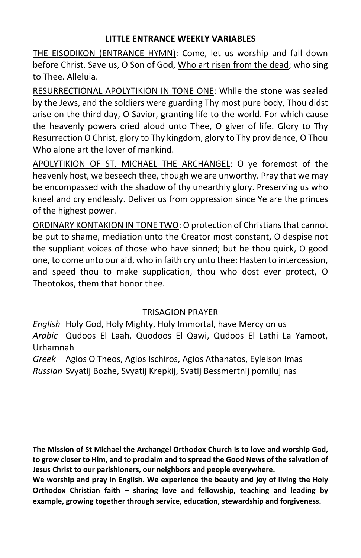#### **LITTLE ENTRANCE WEEKLY VARIABLES**

THE EISODIKON (ENTRANCE HYMN): Come, let us worship and fall down before Christ. Save us, O Son of God, Who art risen from the dead; who sing to Thee. Alleluia.

RESURRECTIONAL APOLYTIKION IN TONE ONE: While the stone was sealed by the Jews, and the soldiers were guarding Thy most pure body, Thou didst arise on the third day, O Savior, granting life to the world. For which cause the heavenly powers cried aloud unto Thee, O giver of life. Glory to Thy Resurrection O Christ, glory to Thy kingdom, glory to Thy providence, O Thou Who alone art the lover of mankind.

APOLYTIKION OF ST. MICHAEL THE ARCHANGEL: O ye foremost of the heavenly host, we beseech thee, though we are unworthy. Pray that we may be encompassed with the shadow of thy unearthly glory. Preserving us who kneel and cry endlessly. Deliver us from oppression since Ye are the princes of the highest power.

ORDINARY KONTAKION IN TONE TWO: O protection of Christians that cannot be put to shame, mediation unto the Creator most constant, O despise not the suppliant voices of those who have sinned; but be thou quick, O good one, to come unto our aid, who in faith cry unto thee: Hasten to intercession, and speed thou to make supplication, thou who dost ever protect, O Theotokos, them that honor thee.

#### TRISAGION PRAYER

*English* Holy God, Holy Mighty, Holy Immortal, have Mercy on us *Arabic* Qudoos El Laah, Quodoos El Qawi, Qudoos El Lathi La Yamoot, Urhamnah

*Greek* Agios O Theos, Agios Ischiros, Agios Athanatos, Eyleison Imas *Russian* Svyatij Bozhe, Svyatij Krepkij, Svatij Bessmertnij pomiluj nas

**The Mission of St Michael the Archangel Orthodox Church is to love and worship God, to grow closer to Him, and to proclaim and to spread the Good News of the salvation of Jesus Christ to our parishioners, our neighbors and people everywhere.**

**We worship and pray in English. We experience the beauty and joy of living the Holy Orthodox Christian faith – sharing love and fellowship, teaching and leading by example, growing together through service, education, stewardship and forgiveness.**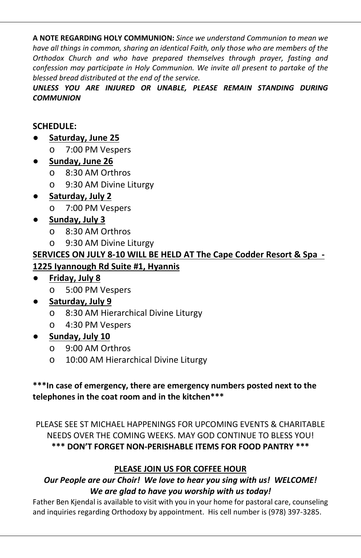**A NOTE REGARDING HOLY COMMUNION:** *Since we understand Communion to mean we have all things in common, sharing an identical Faith, only those who are members of the Orthodox Church and who have prepared themselves through prayer, fasting and confession may participate in Holy Communion. We invite all present to partake of the blessed bread distributed at the end of the service.*

*UNLESS YOU ARE INJURED OR UNABLE, PLEASE REMAIN STANDING DURING COMMUNION*

#### **SCHEDULE:**

- **Saturday, June 25** 
	- o 7:00 PM Vespers

#### ● **Sunday, June 26**

- o 8:30 AM Orthros
- o 9:30 AM Divine Liturgy
- **Saturday, July 2** 
	- o 7:00 PM Vespers

#### ● **Sunday, July 3**

- o 8:30 AM Orthros
- o 9:30 AM Divine Liturgy

#### **SERVICES ON JULY 8‐10 WILL BE HELD AT The Cape Codder Resort & Spa ‐ 1225 Iyannough Rd Suite #1, Hyannis**

- **Friday, July 8** 
	- o 5:00 PM Vespers

#### ● **Saturday, July 9**

- o 8:30 AM Hierarchical Divine Liturgy
- o 4:30 PM Vespers
- **Sunday, July 10** 
	- o 9:00 AM Orthros
	- o 10:00 AM Hierarchical Divine Liturgy

#### **\*\*\*In case of emergency, there are emergency numbers posted next to the telephones in the coat room and in the kitchen\*\*\***

PLEASE SEE ST MICHAEL HAPPENINGS FOR UPCOMING EVENTS & CHARITABLE NEEDS OVER THE COMING WEEKS. MAY GOD CONTINUE TO BLESS YOU! **\*\*\* DON'T FORGET NON‐PERISHABLE ITEMS FOR FOOD PANTRY \*\*\***

#### **PLEASE JOIN US FOR COFFEE HOUR**

#### *Our People are our Choir! We love to hear you sing with us! WELCOME! We are glad to have you worship with us today!*

Father Ben Kjendal is available to visit with you in your home for pastoral care, counseling and inquiries regarding Orthodoxy by appointment. His cell number is (978) 397‐3285.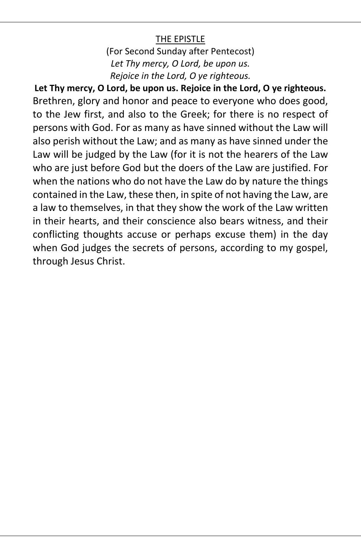#### THE EPISTLE

(For Second Sunday after Pentecost) *Let Thy mercy, O Lord, be upon us. Rejoice in the Lord, O ye righteous.* 

**Let Thy mercy, O Lord, be upon us. Rejoice in the Lord, O ye righteous.**  Brethren, glory and honor and peace to everyone who does good, to the Jew first, and also to the Greek; for there is no respect of persons with God. For as many as have sinned without the Law will also perish without the Law; and as many as have sinned under the Law will be judged by the Law (for it is not the hearers of the Law who are just before God but the doers of the Law are justified. For when the nations who do not have the Law do by nature the things contained in the Law, these then, in spite of not having the Law, are a law to themselves, in that they show the work of the Law written in their hearts, and their conscience also bears witness, and their conflicting thoughts accuse or perhaps excuse them) in the day when God judges the secrets of persons, according to my gospel, through Jesus Christ.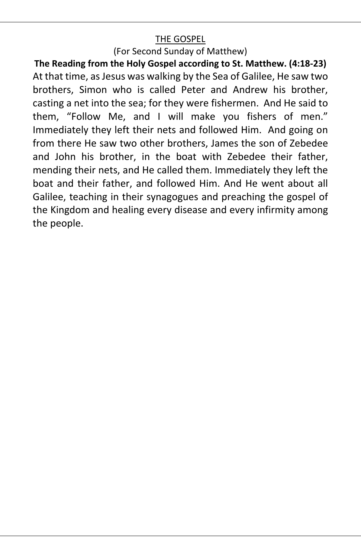### THE GOSPEL

(For Second Sunday of Matthew)

**The Reading from the Holy Gospel according to St. Matthew. (4:18‐23)**  At that time, as Jesus was walking by the Sea of Galilee, He saw two brothers, Simon who is called Peter and Andrew his brother, casting a net into the sea; for they were fishermen. And He said to them, "Follow Me, and I will make you fishers of men." Immediately they left their nets and followed Him. And going on from there He saw two other brothers, James the son of Zebedee and John his brother, in the boat with Zebedee their father, mending their nets, and He called them. Immediately they left the boat and their father, and followed Him. And He went about all Galilee, teaching in their synagogues and preaching the gospel of the Kingdom and healing every disease and every infirmity among the people.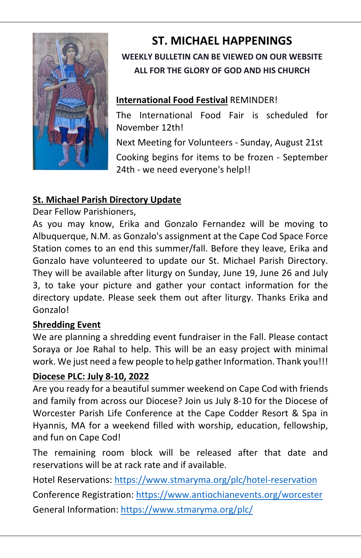

# **ST. MICHAEL HAPPENINGS WEEKLY BULLETIN CAN BE VIEWED ON OUR WEBSITE ALL FOR THE GLORY OF GOD AND HIS CHURCH**

## **International Food Festival** REMINDER!

The International Food Fair is scheduled for November 12th!

Next Meeting for Volunteers ‐ Sunday, August 21st Cooking begins for items to be frozen ‐ September 24th - we need everyone's help!!

## **St. Michael Parish Directory Update**

Dear Fellow Parishioners,

As you may know, Erika and Gonzalo Fernandez will be moving to Albuquerque, N.M. as Gonzalo's assignment at the Cape Cod Space Force Station comes to an end this summer/fall. Before they leave, Erika and Gonzalo have volunteered to update our St. Michael Parish Directory. They will be available after liturgy on Sunday, June 19, June 26 and July 3, to take your picture and gather your contact information for the directory update. Please seek them out after liturgy. Thanks Erika and Gonzalo!

## **Shredding Event**

We are planning a shredding event fundraiser in the Fall. Please contact Soraya or Joe Rahal to help. This will be an easy project with minimal work. We just need a few people to help gather Information. Thank you!!!

## **Diocese PLC: July 8‐10, 2022**

Are you ready for a beautiful summer weekend on Cape Cod with friends and family from across our Diocese? Join us July 8‐10 for the Diocese of Worcester Parish Life Conference at the Cape Codder Resort & Spa in Hyannis, MA for a weekend filled with worship, education, fellowship, and fun on Cape Cod!

The remaining room block will be released after that date and reservations will be at rack rate and if available.

Hotel Reservations: https://www.stmaryma.org/plc/hotel‐reservation

Conference Registration: https://www.antiochianevents.org/worcester

General Information: https://www.stmaryma.org/plc/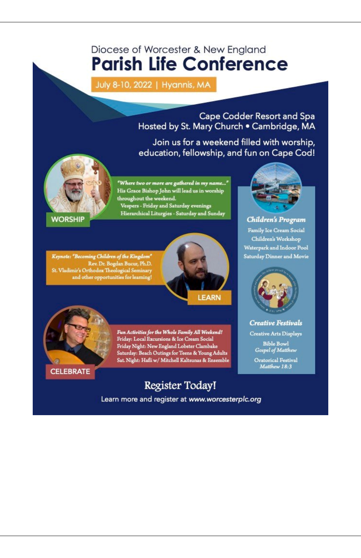# Diocese of Worcester & New England **Parish Life Conference**

July 8-10, 2022 | Hyannis, MA

Cape Codder Resort and Spa Hosted by St. Mary Church . Cambridge, MA

Join us for a weekend filled with worship, education, fellowship, and fun on Cape Cod!



"Where two or more are gathered in my name..." His Grace Bishop John will lead us in worship throughout the weekend. Vespers - Friday and Saturday evenings Hierarchical Liturgies - Saturday and Sunday

**WORSHIP** 

 $\begin{minipage}[c]{0.9\linewidth} \textit{Keynote: \textbf{``Because ``Becoming Children of the Kingdom''} \\ \textit{Rev. Dr. Bogdan Bucur, Ph.D.} \\ \textit{St. Vladimir's Orthodox Theological Seminary and other opportunities for learning!} \end{minipage}$ 





Fun Activities for the Whole Family All Weekend! Friday: Local Excursions & Ice Cream Social Friday Night: New England Lobster Clambake<br>Saturday: Beach Outings for Teens & Young Adults<br>Sat. Night: Hafli w/ Mitchell Kaltsunas & Ensemble

Register Today!

Learn more and register at www.worcesterplc.org



Children's Program Family Ice Cream Social Children's Workshop Waterpark and Indoor Pool Saturday Dinner and Movie



**Creative Festivals** 

**Creative Arts Displays** 

**Bible Bowl** Gospel of Matthew

Oratorical Festival Matthew 18:3